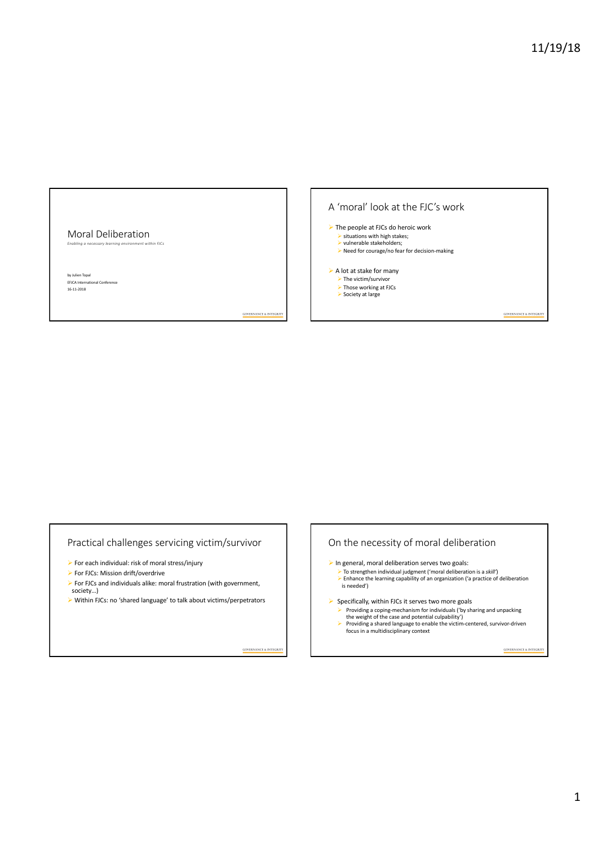#### Moral Deliberation *Enabling a necessary learning environment within FJCs*

by Julien Topal al Conference 16-11-2018

# A 'moral' look at the FJC's work  $\triangleright$  The people at FJCs do heroic work  $\blacktriangleright$  situations with high stakes;  $\triangleright$  vulnerable stakeholders:  $\triangleright$  Need for courage/no fear for decision-making  $\triangleright$  A lot at stake for many  $\blacktriangleright$  The victim/survivor Ø Those working at FJCs Ø Society at large GOVERNANCE & INTEGRITY

Practical challenges servicing victim/survivor

- $\blacktriangleright$  For each individual: risk of moral stress/injury
- $\triangleright$  For FJCs: Mission drift/overdrive
- Ø For FJCs and individuals alike: moral frustration (with government, society…)
- Ø Within FJCs: no 'shared language' to talk about victims/perpetrators

GOVERNANCE & INTEGRITY

GOVERNANCE & INTEGRITY

## On the necessity of moral deliberation

- $\blacktriangleright$  In general, moral deliberation serves two goals:
- Ø To strengthen individual judgment ('moral deliberation is a *skill'*) Ø Enhance the learning capability of an organization ('a practice of deliberation is needed')
- $\triangleright$  Specifically, within FJCs it serves two more goals
	- Ø Providing a coping-mechanism for individuals ('by sharing and unpacking
	- the weight of the case and potential culpability') Ø Providing a shared language to enable the victim-centered, survivor-driven focus in a multidisciplinary context

**GOVERNANCE & INTEGRITY**